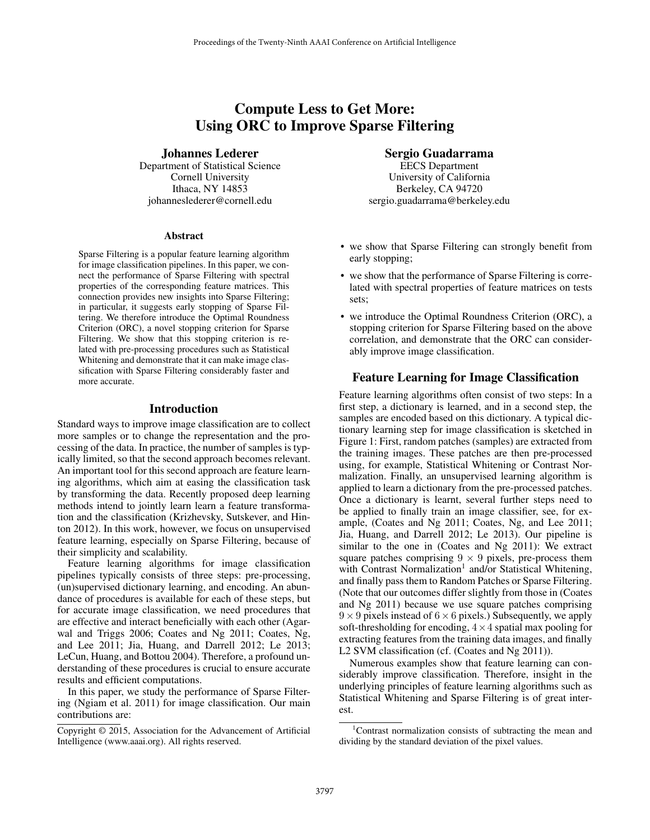# Compute Less to Get More: Using ORC to Improve Sparse Filtering

# Johannes Lederer

Department of Statistical Science Cornell University Ithaca, NY 14853 johanneslederer@cornell.edu

#### Abstract

Sparse Filtering is a popular feature learning algorithm for image classification pipelines. In this paper, we connect the performance of Sparse Filtering with spectral properties of the corresponding feature matrices. This connection provides new insights into Sparse Filtering; in particular, it suggests early stopping of Sparse Filtering. We therefore introduce the Optimal Roundness Criterion (ORC), a novel stopping criterion for Sparse Filtering. We show that this stopping criterion is related with pre-processing procedures such as Statistical Whitening and demonstrate that it can make image classification with Sparse Filtering considerably faster and more accurate.

# Introduction

Standard ways to improve image classification are to collect more samples or to change the representation and the processing of the data. In practice, the number of samples is typically limited, so that the second approach becomes relevant. An important tool for this second approach are feature learning algorithms, which aim at easing the classification task by transforming the data. Recently proposed deep learning methods intend to jointly learn learn a feature transformation and the classification (Krizhevsky, Sutskever, and Hinton 2012). In this work, however, we focus on unsupervised feature learning, especially on Sparse Filtering, because of their simplicity and scalability.

Feature learning algorithms for image classification pipelines typically consists of three steps: pre-processing, (un)supervised dictionary learning, and encoding. An abundance of procedures is available for each of these steps, but for accurate image classification, we need procedures that are effective and interact beneficially with each other (Agarwal and Triggs 2006; Coates and Ng 2011; Coates, Ng, and Lee 2011; Jia, Huang, and Darrell 2012; Le 2013; LeCun, Huang, and Bottou 2004). Therefore, a profound understanding of these procedures is crucial to ensure accurate results and efficient computations.

In this paper, we study the performance of Sparse Filtering (Ngiam et al. 2011) for image classification. Our main contributions are:

# Sergio Guadarrama

EECS Department University of California Berkeley, CA 94720 sergio.guadarrama@berkeley.edu

- we show that Sparse Filtering can strongly benefit from early stopping;
- we show that the performance of Sparse Filtering is correlated with spectral properties of feature matrices on tests sets;
- we introduce the Optimal Roundness Criterion (ORC), a stopping criterion for Sparse Filtering based on the above correlation, and demonstrate that the ORC can considerably improve image classification.

# Feature Learning for Image Classification

Feature learning algorithms often consist of two steps: In a first step, a dictionary is learned, and in a second step, the samples are encoded based on this dictionary. A typical dictionary learning step for image classification is sketched in Figure 1: First, random patches (samples) are extracted from the training images. These patches are then pre-processed using, for example, Statistical Whitening or Contrast Normalization. Finally, an unsupervised learning algorithm is applied to learn a dictionary from the pre-processed patches. Once a dictionary is learnt, several further steps need to be applied to finally train an image classifier, see, for example, (Coates and Ng 2011; Coates, Ng, and Lee 2011; Jia, Huang, and Darrell 2012; Le 2013). Our pipeline is similar to the one in (Coates and Ng 2011): We extract square patches comprising  $9 \times 9$  pixels, pre-process them with Contrast Normalization<sup>1</sup> and/or Statistical Whitening, and finally pass them to Random Patches or Sparse Filtering. (Note that our outcomes differ slightly from those in (Coates and Ng 2011) because we use square patches comprising  $9 \times 9$  pixels instead of  $6 \times 6$  pixels.) Subsequently, we apply soft-thresholding for encoding,  $4 \times 4$  spatial max pooling for extracting features from the training data images, and finally L2 SVM classification (cf. (Coates and Ng 2011)).

Numerous examples show that feature learning can considerably improve classification. Therefore, insight in the underlying principles of feature learning algorithms such as Statistical Whitening and Sparse Filtering is of great interest.

Copyright © 2015, Association for the Advancement of Artificial Intelligence (www.aaai.org). All rights reserved.

<sup>1</sup>Contrast normalization consists of subtracting the mean and dividing by the standard deviation of the pixel values.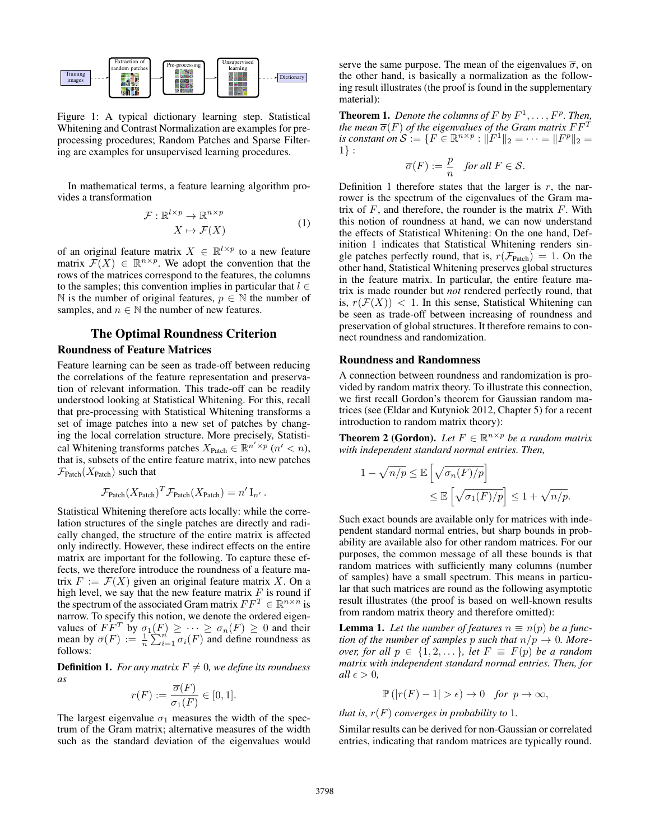

Figure 1: A typical dictionary learning step. Statistical Whitening and Contrast Normalization are examples for preprocessing procedures; Random Patches and Sparse Filtering are examples for unsupervised learning procedures.

In mathematical terms, a feature learning algorithm provides a transformation

$$
\mathcal{F}: \mathbb{R}^{l \times p} \to \mathbb{R}^{n \times p} \qquad (1)
$$
\n
$$
X \mapsto \mathcal{F}(X)
$$

of an original feature matrix  $X \in \mathbb{R}^{l \times p}$  to a new feature matrix  $\mathcal{F}(X) \in \mathbb{R}^{n \times p}$ . We adopt the convention that the rows of the matrices correspond to the features, the columns to the samples; this convention implies in particular that  $l \in$ N is the number of original features,  $p \in \mathbb{N}$  the number of samples, and  $n \in \mathbb{N}$  the number of new features.

# The Optimal Roundness Criterion

# Roundness of Feature Matrices

Feature learning can be seen as trade-off between reducing the correlations of the feature representation and preservation of relevant information. This trade-off can be readily understood looking at Statistical Whitening. For this, recall that pre-processing with Statistical Whitening transforms a set of image patches into a new set of patches by changing the local correlation structure. More precisely, Statistical Whitening transforms patches  $X_{\text{Patch}} \in \mathbb{R}^{n' \times p}$   $(n' < n)$ , that is, subsets of the entire feature matrix, into new patches  $\mathcal{F}_{\text{Patch}}(X_{\text{Patch}})$  such that

$$
\mathcal{F}_{\text{Patch}}(X_{\text{Patch}})^T \mathcal{F}_{\text{Patch}}(X_{\text{Patch}}) = n' I_{n'}.
$$

Statistical Whitening therefore acts locally: while the correlation structures of the single patches are directly and radically changed, the structure of the entire matrix is affected only indirectly. However, these indirect effects on the entire matrix are important for the following. To capture these effects, we therefore introduce the roundness of a feature matrix  $F := \mathcal{F}(X)$  given an original feature matrix X. On a high level, we say that the new feature matrix  $F$  is round if the spectrum of the associated Gram matrix  $FF^T \in \mathbb{R}^{n \times n}$  is narrow. To specify this notion, we denote the ordered eigenvalues of  $F\overline{F}^T$  by  $\sigma_1(F) \geq \cdots \geq \sigma_n(F) \geq 0$  and their mean by  $\overline{\sigma}(F) := \frac{1}{n} \sum_{i=1}^{n} \overline{\sigma_i(F)}$  and define roundness as follows:

**Definition 1.** *For any matrix*  $F \neq 0$ *, we define its roundness as*

$$
r(F) := \frac{\overline{\sigma}(F)}{\sigma_1(F)} \in [0, 1].
$$

The largest eigenvalue  $\sigma_1$  measures the width of the spectrum of the Gram matrix; alternative measures of the width such as the standard deviation of the eigenvalues would

serve the same purpose. The mean of the eigenvalues  $\overline{\sigma}$ , on the other hand, is basically a normalization as the following result illustrates (the proof is found in the supplementary material):

**Theorem 1.** Denote the columns of  $F$  by  $F^1, \ldots, F^p$ . Then, *the mean*  $\overline{\sigma}(F)$  *of the eigenvalues of the Gram matrix*  $FF<sup>T</sup>$ *is constant on*  $S := \{F \in \mathbb{R}^{n \times p} : \|\breve{F}^1\|_2 = \cdots = \|F^p\|_2 = 0\}$ 1} :

$$
\overline{\sigma}(F) := \frac{p}{n} \quad \text{for all } F \in \mathcal{S}.
$$

Definition 1 therefore states that the larger is  $r$ , the narrower is the spectrum of the eigenvalues of the Gram matrix of  $F$ , and therefore, the rounder is the matrix  $F$ . With this notion of roundness at hand, we can now understand the effects of Statistical Whitening: On the one hand, Definition 1 indicates that Statistical Whitening renders single patches perfectly round, that is,  $r(\mathcal{F}_{\text{Patch}}) = 1$ . On the other hand, Statistical Whitening preserves global structures in the feature matrix. In particular, the entire feature matrix is made rounder but *not* rendered perfectly round, that is,  $r(\mathcal{F}(X))$  < 1. In this sense, Statistical Whitening can be seen as trade-off between increasing of roundness and preservation of global structures. It therefore remains to connect roundness and randomization.

### Roundness and Randomness

A connection between roundness and randomization is provided by random matrix theory. To illustrate this connection, we first recall Gordon's theorem for Gaussian random matrices (see (Eldar and Kutyniok 2012, Chapter 5) for a recent introduction to random matrix theory):

**Theorem 2 (Gordon).** Let  $F \in \mathbb{R}^{n \times p}$  be a random matrix *with independent standard normal entries. Then,*

$$
1 - \sqrt{n/p} \le \mathbb{E}\left[\sqrt{\sigma_n(F)/p}\right]
$$
  

$$
\le \mathbb{E}\left[\sqrt{\sigma_1(F)/p}\right] \le 1 + \sqrt{n/p}.
$$

Such exact bounds are available only for matrices with independent standard normal entries, but sharp bounds in probability are available also for other random matrices. For our purposes, the common message of all these bounds is that random matrices with sufficiently many columns (number of samples) have a small spectrum. This means in particular that such matrices are round as the following asymptotic result illustrates (the proof is based on well-known results from random matrix theory and therefore omitted):

**Lemma 1.** Let the number of features  $n \equiv n(p)$  be a func*tion of the number of samples p such that*  $n/p \rightarrow 0$ *. Moreover, for all*  $p \in \{1, 2, \dots\}$ *, let*  $F \equiv F(p)$  *be a random matrix with independent standard normal entries. Then, for*  $all \epsilon > 0$ ,

$$
\mathbb{P}(|r(F)-1| > \epsilon) \to 0 \quad \text{for } p \to \infty,
$$

*that is,*  $r(F)$  *converges in probability to* 1*.* 

Similar results can be derived for non-Gaussian or correlated entries, indicating that random matrices are typically round.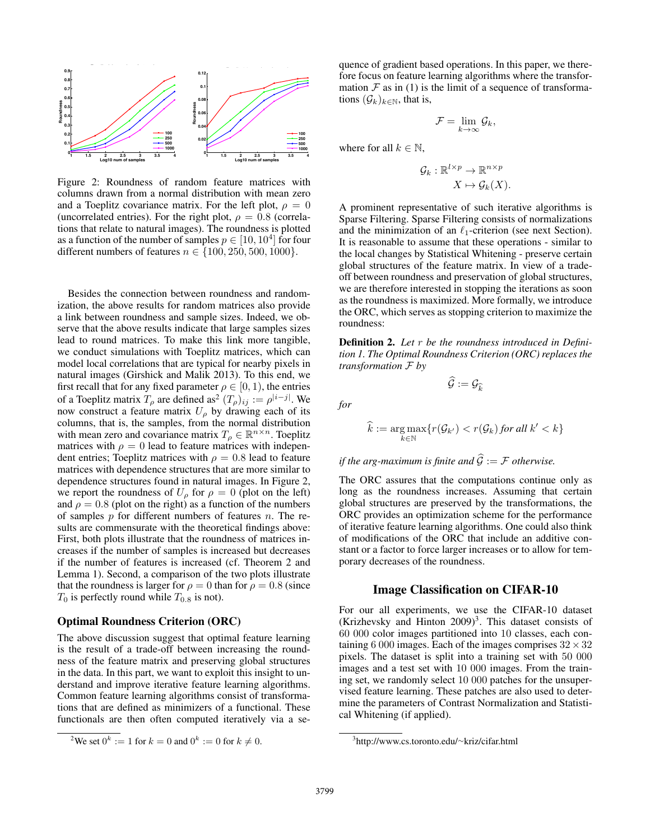

Figure 2: Roundness of random feature matrices with columns drawn from a normal distribution with mean zero and a Toeplitz covariance matrix. For the left plot,  $\rho = 0$ (uncorrelated entries). For the right plot,  $\rho = 0.8$  (correlations that relate to natural images). The roundness is plotted as a function of the number of samples  $p \in [10, 10^4]$  for four different numbers of features  $n \in \{100, 250, 500, 1000\}.$ 

Besides the connection between roundness and randomization, the above results for random matrices also provide a link between roundness and sample sizes. Indeed, we observe that the above results indicate that large samples sizes lead to round matrices. To make this link more tangible, we conduct simulations with Toeplitz matrices, which can model local correlations that are typical for nearby pixels in natural images (Girshick and Malik 2013). To this end, we first recall that for any fixed parameter  $\rho \in [0, 1)$ , the entries of a Toeplitz matrix  $T_\rho$  are defined as<sup>2</sup>  $(T_\rho)_{ij} := \rho^{|i-j|}$ . We now construct a feature matrix  $U_{\rho}$  by drawing each of its columns, that is, the samples, from the normal distribution with mean zero and covariance matrix  $T_{\rho} \in \mathbb{R}^{n \times n}$ . Toeplitz matrices with  $\rho = 0$  lead to feature matrices with independent entries; Toeplitz matrices with  $\rho = 0.8$  lead to feature matrices with dependence structures that are more similar to dependence structures found in natural images. In Figure 2, we report the roundness of  $U_{\rho}$  for  $\rho = 0$  (plot on the left) and  $\rho = 0.8$  (plot on the right) as a function of the numbers of samples  $p$  for different numbers of features  $n$ . The results are commensurate with the theoretical findings above: First, both plots illustrate that the roundness of matrices increases if the number of samples is increased but decreases if the number of features is increased (cf. Theorem 2 and Lemma 1). Second, a comparison of the two plots illustrate that the roundness is larger for  $\rho = 0$  than for  $\rho = 0.8$  (since  $T_0$  is perfectly round while  $T_{0.8}$  is not).

### Optimal Roundness Criterion (ORC)

The above discussion suggest that optimal feature learning is the result of a trade-off between increasing the roundness of the feature matrix and preserving global structures in the data. In this part, we want to exploit this insight to understand and improve iterative feature learning algorithms. Common feature learning algorithms consist of transformations that are defined as minimizers of a functional. These functionals are then often computed iteratively via a se-

quence of gradient based operations. In this paper, we therefore focus on feature learning algorithms where the transformation  $\mathcal F$  as in (1) is the limit of a sequence of transformations  $(\mathcal{G}_k)_{k\in\mathbb{N}}$ , that is,

$$
\mathcal{F}=\lim_{k\to\infty}\mathcal{G}_k,
$$

where for all  $k \in \mathbb{N}$ ,

$$
\mathcal{G}_k: \mathbb{R}^{l \times p} \to \mathbb{R}^{n \times p}
$$

$$
X \mapsto \mathcal{G}_k(X).
$$

A prominent representative of such iterative algorithms is Sparse Filtering. Sparse Filtering consists of normalizations and the minimization of an  $\ell_1$ -criterion (see next Section). It is reasonable to assume that these operations - similar to the local changes by Statistical Whitening - preserve certain global structures of the feature matrix. In view of a tradeoff between roundness and preservation of global structures, we are therefore interested in stopping the iterations as soon as the roundness is maximized. More formally, we introduce the ORC, which serves as stopping criterion to maximize the roundness:

Definition 2. *Let* r *be the roundness introduced in Definition 1. The Optimal Roundness Criterion (ORC) replaces the transformation* F *by*

 $\widehat{\mathcal{G}} := \mathcal{G}_{\widehat{k}}$ 

*for*

$$
\widehat{k} := \underset{k \in \mathbb{N}}{\arg \max} \{ r(\mathcal{G}_{k'}) < r(\mathcal{G}_k) \text{ for all } k' < k \}
$$

# *if the arg-maximum is finite and*  $\widehat{G} := \mathcal{F}$  *otherwise.*

The ORC assures that the computations continue only as long as the roundness increases. Assuming that certain global structures are preserved by the transformations, the ORC provides an optimization scheme for the performance of iterative feature learning algorithms. One could also think of modifications of the ORC that include an additive constant or a factor to force larger increases or to allow for temporary decreases of the roundness.

# Image Classification on CIFAR-10

For our all experiments, we use the CIFAR-10 dataset (Krizhevsky and Hinton  $2009)^3$ . This dataset consists of 60 000 color images partitioned into 10 classes, each containing 6 000 images. Each of the images comprises  $32 \times 32$ pixels. The dataset is split into a training set with 50 000 images and a test set with 10 000 images. From the training set, we randomly select 10 000 patches for the unsupervised feature learning. These patches are also used to determine the parameters of Contrast Normalization and Statistical Whitening (if applied).

<sup>&</sup>lt;sup>2</sup>We set  $0^k := 1$  for  $k = 0$  and  $0^k := 0$  for  $k \neq 0$ .

<sup>3</sup> http://www.cs.toronto.edu/∼kriz/cifar.html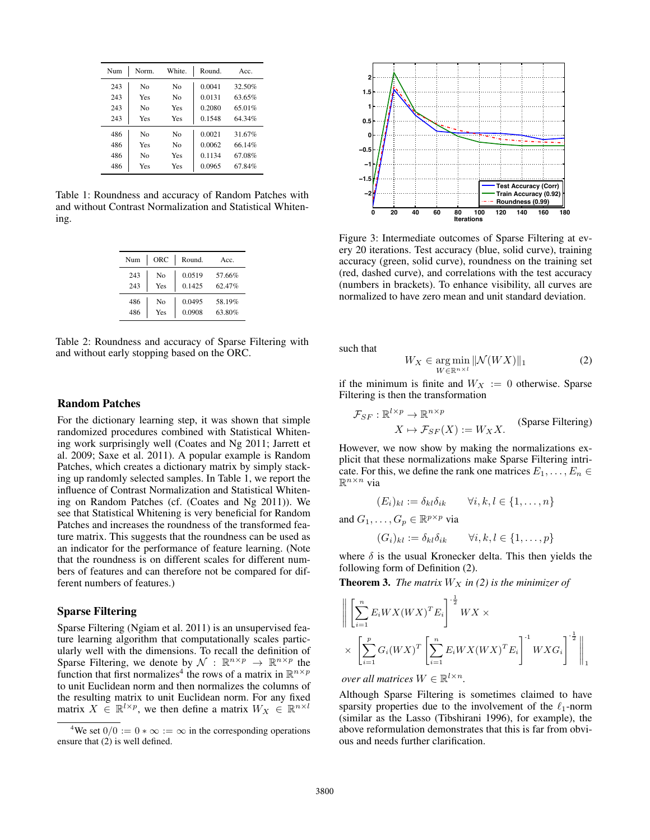| Num | Norm.          | White.         | Round.    | Acc.   |
|-----|----------------|----------------|-----------|--------|
| 243 | N <sub>0</sub> | Nο             | 0.0041    | 32.50% |
| 243 | Yes            | N <sub>0</sub> | 0.0131    | 63.65% |
| 243 | N <sub>0</sub> | Yes            | 0.2080    | 65.01% |
| 243 | Yes            | Yes            | 0.1548    | 64 34% |
| 486 | N <sub>0</sub> | N <sub>0</sub> | 0.0021    | 31.67% |
| 486 | Yes            | N <sub>0</sub> | 0.0062    | 66 14% |
| 486 | N <sub>0</sub> | Yes            | 0 1 1 3 4 | 67.08% |
| 486 | Yes            | Yes            | 0.0965    | 67.84% |

Table 1: Roundness and accuracy of Random Patches with and without Contrast Normalization and Statistical Whitening.

| Num | ORC            | Round. | Acc.   |
|-----|----------------|--------|--------|
| 243 | N <sub>0</sub> | 0.0519 | 57.66% |
| 243 | Yes            | 0.1425 | 62.47% |
| 486 | N <sub>0</sub> | 0.0495 | 58.19% |
| 486 | Yes            | 0.0908 | 63.80% |

Table 2: Roundness and accuracy of Sparse Filtering with and without early stopping based on the ORC.

# Random Patches

For the dictionary learning step, it was shown that simple randomized procedures combined with Statistical Whitening work surprisingly well (Coates and Ng 2011; Jarrett et al. 2009; Saxe et al. 2011). A popular example is Random Patches, which creates a dictionary matrix by simply stacking up randomly selected samples. In Table 1, we report the influence of Contrast Normalization and Statistical Whitening on Random Patches (cf. (Coates and Ng 2011)). We see that Statistical Whitening is very beneficial for Random Patches and increases the roundness of the transformed feature matrix. This suggests that the roundness can be used as an indicator for the performance of feature learning. (Note that the roundness is on different scales for different numbers of features and can therefore not be compared for different numbers of features.)

# Sparse Filtering

Sparse Filtering (Ngiam et al. 2011) is an unsupervised feature learning algorithm that computationally scales particularly well with the dimensions. To recall the definition of Sparse Filtering, we denote by  $\mathcal{N} : \mathbb{R}^{n \times p} \to \mathbb{R}^{n \times p}$  the function that first normalizes<sup>4</sup> the rows of a matrix in  $\mathbb{R}^{n \times p}$ to unit Euclidean norm and then normalizes the columns of the resulting matrix to unit Euclidean norm. For any fixed matrix  $X \in \mathbb{R}^{l \times p}$ , we then define a matrix  $W_X \in \mathbb{R}^{n \times l}$ 



Figure 3: Intermediate outcomes of Sparse Filtering at every 20 iterations. Test accuracy (blue, solid curve), training accuracy (green, solid curve), roundness on the training set (red, dashed curve), and correlations with the test accuracy (numbers in brackets). To enhance visibility, all curves are normalized to have zero mean and unit standard deviation.

such that

$$
W_X \in \underset{W \in \mathbb{R}^{n \times l}}{\arg \min} \, ||\mathcal{N}(WX)||_1 \tag{2}
$$

if the minimum is finite and  $W_X := 0$  otherwise. Sparse Filtering is then the transformation

$$
\mathcal{F}_{SF} : \mathbb{R}^{l \times p} \to \mathbb{R}^{n \times p}
$$
  

$$
X \mapsto \mathcal{F}_{SF}(X) := W_X X.
$$
 (Sparse Filtering)

However, we now show by making the normalizations explicit that these normalizations make Sparse Filtering intricate. For this, we define the rank one matrices  $E_1, \ldots, E_n \in$  $\mathbb{R}^{n \times n}$  via

$$
(E_i)_{kl} := \delta_{kl}\delta_{ik} \qquad \forall i, k, l \in \{1, \dots, n\}
$$

and  $G_1, \ldots, G_p \in \mathbb{R}^{p \times p}$  via

$$
(G_i)_{kl} := \delta_{kl}\delta_{ik} \qquad \forall i, k, l \in \{1, \dots, p\}
$$

where  $\delta$  is the usual Kronecker delta. This then yields the following form of Definition (2).

**Theorem 3.** *The matrix*  $W_X$  *in (2) is the minimizer of* 

$$
\left\| \left[ \sum_{i=1}^{n} E_i W X (W X)^T E_i \right]^{\frac{1}{2}} W X \times \right\|
$$
  
 
$$
\times \left[ \sum_{i=1}^{p} G_i (W X)^T \left[ \sum_{i=1}^{n} E_i W X (W X)^T E_i \right]^{\frac{1}{2}} W X G_i \right]^{\frac{1}{2}} \right\|_1
$$

*over all matrices*  $W \in \mathbb{R}^{l \times n}$ .

Although Sparse Filtering is sometimes claimed to have sparsity properties due to the involvement of the  $\ell_1$ -norm (similar as the Lasso (Tibshirani 1996), for example), the above reformulation demonstrates that this is far from obvious and needs further clarification.

<sup>&</sup>lt;sup>4</sup>We set  $0/0 := 0 * \infty := \infty$  in the corresponding operations ensure that (2) is well defined.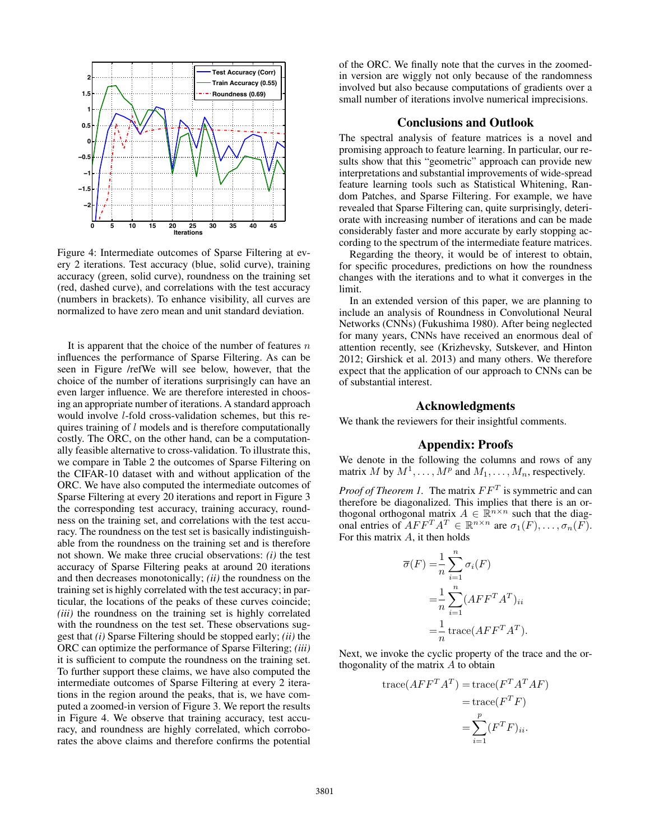

Figure 4: Intermediate outcomes of Sparse Filtering at every 2 iterations. Test accuracy (blue, solid curve), training accuracy (green, solid curve), roundness on the training set (red, dashed curve), and correlations with the test accuracy (numbers in brackets). To enhance visibility, all curves are normalized to have zero mean and unit standard deviation.

It is apparent that the choice of the number of features  $n$ influences the performance of Sparse Filtering. As can be seen in Figure /refWe will see below, however, that the choice of the number of iterations surprisingly can have an even larger influence. We are therefore interested in choosing an appropriate number of iterations. A standard approach would involve l-fold cross-validation schemes, but this requires training of l models and is therefore computationally costly. The ORC, on the other hand, can be a computationally feasible alternative to cross-validation. To illustrate this, we compare in Table 2 the outcomes of Sparse Filtering on the CIFAR-10 dataset with and without application of the ORC. We have also computed the intermediate outcomes of Sparse Filtering at every 20 iterations and report in Figure 3 the corresponding test accuracy, training accuracy, roundness on the training set, and correlations with the test accuracy. The roundness on the test set is basically indistinguishable from the roundness on the training set and is therefore not shown. We make three crucial observations: *(i)* the test accuracy of Sparse Filtering peaks at around 20 iterations and then decreases monotonically; *(ii)* the roundness on the training set is highly correlated with the test accuracy; in particular, the locations of the peaks of these curves coincide; *(iii)* the roundness on the training set is highly correlated with the roundness on the test set. These observations suggest that *(i)* Sparse Filtering should be stopped early; *(ii)* the ORC can optimize the performance of Sparse Filtering; *(iii)* it is sufficient to compute the roundness on the training set. To further support these claims, we have also computed the intermediate outcomes of Sparse Filtering at every 2 iterations in the region around the peaks, that is, we have computed a zoomed-in version of Figure 3. We report the results in Figure 4. We observe that training accuracy, test accuracy, and roundness are highly correlated, which corroborates the above claims and therefore confirms the potential

of the ORC. We finally note that the curves in the zoomedin version are wiggly not only because of the randomness involved but also because computations of gradients over a small number of iterations involve numerical imprecisions.

# Conclusions and Outlook

The spectral analysis of feature matrices is a novel and promising approach to feature learning. In particular, our results show that this "geometric" approach can provide new interpretations and substantial improvements of wide-spread feature learning tools such as Statistical Whitening, Random Patches, and Sparse Filtering. For example, we have revealed that Sparse Filtering can, quite surprisingly, deteriorate with increasing number of iterations and can be made considerably faster and more accurate by early stopping according to the spectrum of the intermediate feature matrices.

Regarding the theory, it would be of interest to obtain, for specific procedures, predictions on how the roundness changes with the iterations and to what it converges in the limit.

In an extended version of this paper, we are planning to include an analysis of Roundness in Convolutional Neural Networks (CNNs) (Fukushima 1980). After being neglected for many years, CNNs have received an enormous deal of attention recently, see (Krizhevsky, Sutskever, and Hinton 2012; Girshick et al. 2013) and many others. We therefore expect that the application of our approach to CNNs can be of substantial interest.

#### Acknowledgments

We thank the reviewers for their insightful comments.

# Appendix: Proofs

We denote in the following the columns and rows of any matrix M by  $M^1, \ldots, M^p$  and  $M_1, \ldots, M_n$ , respectively.

*Proof of Theorem 1.* The matrix  $FF^T$  is symmetric and can therefore be diagonalized. This implies that there is an orthogonal orthogonal matrix  $A \in \mathbb{R}^{n \times n}$  such that the diagonal entries of  $AFF^T A^T \in \mathbb{R}^{n \times n}$  are  $\sigma_1(F), \ldots, \sigma_n(F)$ . For this matrix  $A$ , it then holds

$$
\overline{\sigma}(F) = \frac{1}{n} \sum_{i=1}^{n} \sigma_i(F)
$$

$$
= \frac{1}{n} \sum_{i=1}^{n} (AFF^{T}A^{T})_{ii}
$$

$$
= \frac{1}{n} \operatorname{trace}(AFF^{T}A^{T}).
$$

Next, we invoke the cyclic property of the trace and the orthogonality of the matrix  $A$  to obtain

trace(
$$
AFF^T A^T
$$
) = trace( $F^T A^T AF$ )  
= trace( $F^T F$ )  
= 
$$
\sum_{i=1}^p (F^T F)_{ii}.
$$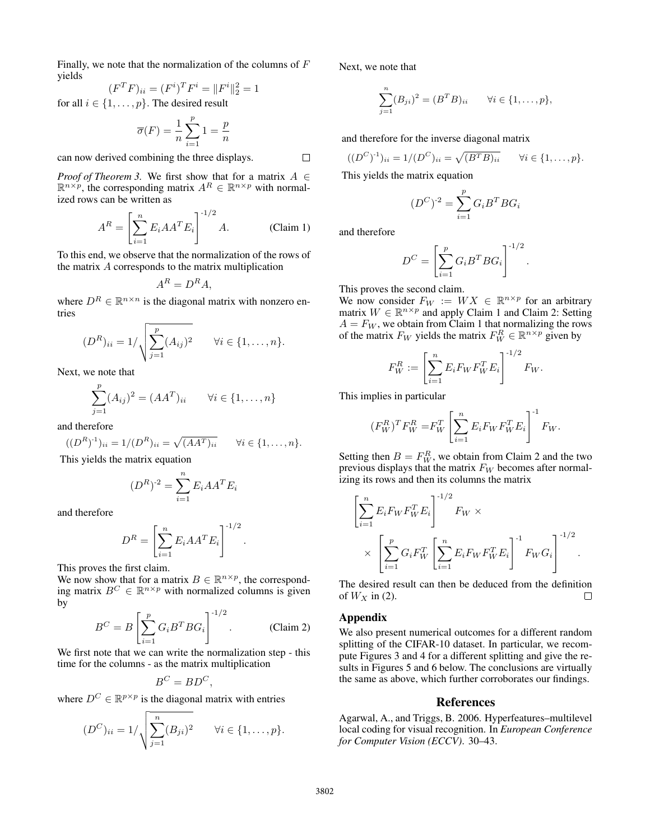Finally, we note that the normalization of the columns of  $F$ yields

$$
(F^T F)_{ii} = (F^i)^T F^i = ||F^i||_2^2 = 1
$$

for all  $i \in \{1, \ldots, p\}$ . The desired result

$$
\overline{\sigma}(F) = \frac{1}{n} \sum_{i=1}^{p} 1 = \frac{p}{n}
$$

can now derived combining the three displays.

*Proof of Theorem 3.* We first show that for a matrix  $A \in$  $\mathbb{R}^{n \times p}$ , the corresponding matrix  $A^R \in \mathbb{R}^{n \times p}$  with normalized rows can be written as

$$
A^{R} = \left[\sum_{i=1}^{n} E_{i} A A^{T} E_{i}\right]^{-1/2} A.
$$
 (Claim 1)

To this end, we observe that the normalization of the rows of the matrix A corresponds to the matrix multiplication

$$
A^R = D^R A,
$$

where  $D^R \in \mathbb{R}^{n \times n}$  is the diagonal matrix with nonzero entries

$$
(D^{R})_{ii} = 1/\sqrt{\sum_{j=1}^{p} (A_{ij})^{2}} \quad \forall i \in \{1, ..., n\}.
$$

Next, we note that

$$
\sum_{j=1}^{p} (A_{ij})^2 = (AA^T)_{ii} \qquad \forall i \in \{1, ..., n\}
$$

and therefore

$$
((D^{R})^{1})_{ii} = 1/(D^{R})_{ii} = \sqrt{(AA^{T})_{ii}} \qquad \forall i \in \{1, ..., n\}.
$$

This yields the matrix equation

$$
(D^R)^{-2} = \sum_{i=1}^n E_i A A^T E_i
$$

and therefore

$$
D^R = \left[\sum_{i=1}^n E_i A A^T E_i\right]^{1/2}.
$$

This proves the first claim.

We now show that for a matrix  $B \in \mathbb{R}^{n \times p}$ , the corresponding matrix  $B^C \in \mathbb{R}^{n \times p}$  with normalized columns is given by

$$
B^C = B \left[ \sum_{i=1}^p G_i B^T B G_i \right]^{1/2}.
$$
 (Claim 2)

We first note that we can write the normalization step - this time for the columns - as the matrix multiplication

$$
B^C = BD^C,
$$

where  $D^C \in \mathbb{R}^{p \times p}$  is the diagonal matrix with entries

$$
(D^{C})_{ii} = 1/\sqrt{\sum_{j=1}^{n} (B_{ji})^{2}} \quad \forall i \in \{1, ..., p\}.
$$

Next, we note that

$$
\sum_{j=1}^{n} (B_{ji})^2 = (B^T B)_{ii} \quad \forall i \in \{1, ..., p\},
$$

and therefore for the inverse diagonal matrix

$$
((D^{C})^{-1})_{ii} = 1/(D^{C})_{ii} = \sqrt{(B^{T}B)_{ii}} \quad \forall i \in \{1, ..., p\}.
$$

This yields the matrix equation

$$
(D^C)^{-2} = \sum_{i=1}^p G_i B^T B G_i
$$

and therefore

 $\Box$ 

$$
D^C = \left[\sum_{i=1}^p G_i B^T B G_i\right]^{1/2}.
$$

This proves the second claim.

We now consider  $F_W := W X \in \mathbb{R}^{n \times p}$  for an arbitrary matrix  $W \in \mathbb{R}^{n \times p}$  and apply Claim 1 and Claim 2: Setting  $A = F_W$ , we obtain from Claim 1 that normalizing the rows of the matrix  $F_W$  yields the matrix  $F_W^R \in \mathbb{R}^{n \times p}$  given by

$$
F_W^R := \left[\sum_{i=1}^n E_i F_W F_W^T E_i\right]^{-1/2} F_W.
$$

This implies in particular

$$
(F_W^R)^T F_W^R = F_W^T \left[ \sum_{i=1}^n E_i F_W F_W^T E_i \right]^{-1} F_W.
$$

Setting then  $B = F_W^R$ , we obtain from Claim 2 and the two previous displays that the matrix  $F_W$  becomes after normalizing its rows and then its columns the matrix

$$
\left[\sum_{i=1}^{n} E_i F_W F_W^T E_i\right]^{-1/2} F_W \times \times \left[\sum_{i=1}^{p} G_i F_W^T \left[\sum_{i=1}^{n} E_i F_W F_W^T E_i\right]^{-1} F_W G_i\right]^{-1/2}.
$$

The desired result can then be deduced from the definition of  $W_X$  in (2). П

# Appendix

We also present numerical outcomes for a different random splitting of the CIFAR-10 dataset. In particular, we recompute Figures 3 and 4 for a different splitting and give the results in Figures 5 and 6 below. The conclusions are virtually the same as above, which further corroborates our findings.

# References

Agarwal, A., and Triggs, B. 2006. Hyperfeatures–multilevel local coding for visual recognition. In *European Conference for Computer Vision (ECCV)*. 30–43.